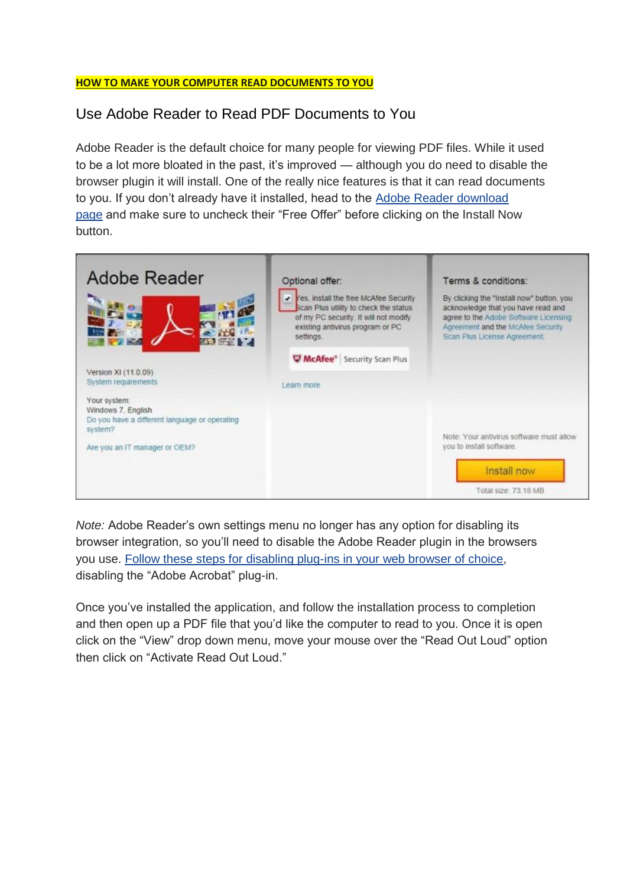## **HOW TO MAKE YOUR COMPUTER READ DOCUMENTS TO YOU**

## Use Adobe Reader to Read PDF Documents to You

Adobe Reader is the default choice for many people for viewing PDF files. While it used to be a lot more bloated in the past, it's improved — although you do need to disable the browser plugin it will install. One of the really nice features is that it can read documents to you. If you don't already have it installed, head to the [Adobe Reader download](http://get.adobe.com/reader/)  [page](http://get.adobe.com/reader/) and make sure to uncheck their "Free Offer" before clicking on the Install Now button.



*Note:* Adobe Reader's own settings menu no longer has any option for disabling its browser integration, so you'll need to disable the Adobe Reader plugin in the browsers you use. [Follow these steps for disabling plug-ins in your web browser of choice,](http://www.howtogeek.com/139916/how-to-view-and-disable-installed-browser-plug-ins-in-any-browser/) disabling the "Adobe Acrobat" plug-in.

Once you've installed the application, and follow the installation process to completion and then open up a PDF file that you'd like the computer to read to you. Once it is open click on the "View" drop down menu, move your mouse over the "Read Out Loud" option then click on "Activate Read Out Loud."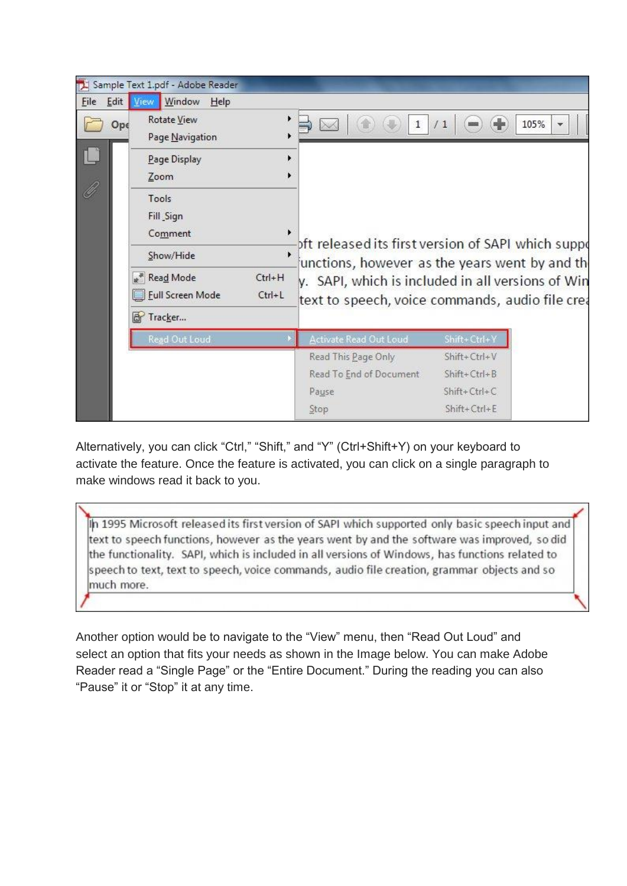

Alternatively, you can click "Ctrl," "Shift," and "Y" (Ctrl+Shift+Y) on your keyboard to activate the feature. Once the feature is activated, you can click on a single paragraph to make windows read it back to you.

In 1995 Microsoft released its first version of SAPI which supported only basic speech input and text to speech functions, however as the years went by and the software was improved, so did the functionality. SAPI, which is included in all versions of Windows, has functions related to speech to text, text to speech, voice commands, audio file creation, grammar objects and so much more.

Another option would be to navigate to the "View" menu, then "Read Out Loud" and select an option that fits your needs as shown in the Image below. You can make Adobe Reader read a "Single Page" or the "Entire Document." During the reading you can also "Pause" it or "Stop" it at any time.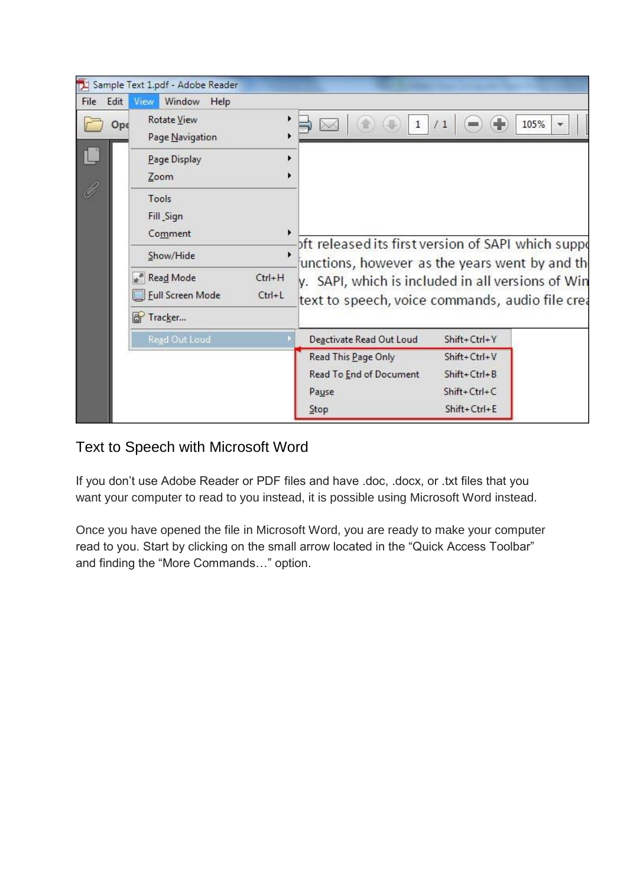

## Text to Speech with Microsoft Word

If you don't use Adobe Reader or PDF files and have .doc, .docx, or .txt files that you want your computer to read to you instead, it is possible using Microsoft Word instead.

Once you have opened the file in Microsoft Word, you are ready to make your computer read to you. Start by clicking on the small arrow located in the "Quick Access Toolbar" and finding the "More Commands…" option.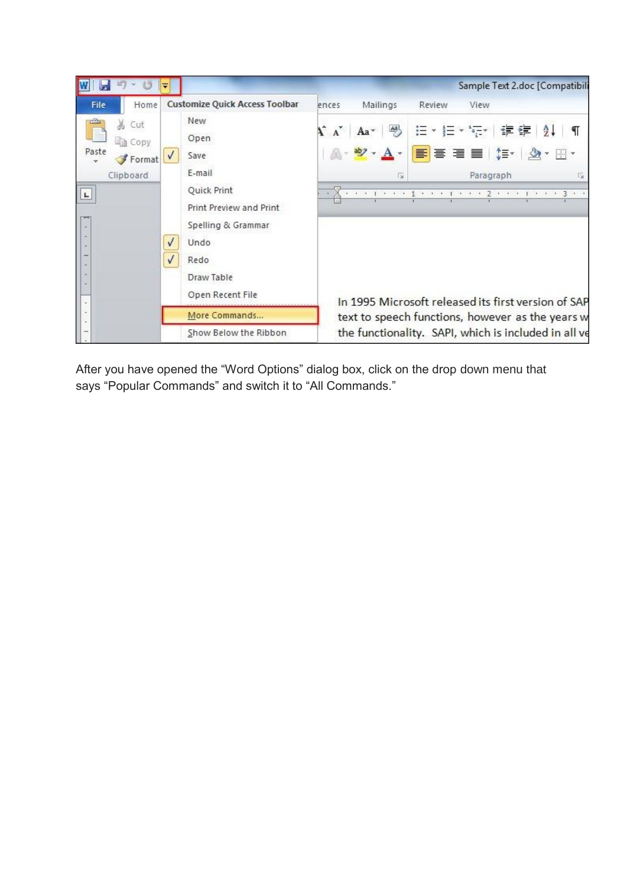

After you have opened the "Word Options" dialog box, click on the drop down menu that says "Popular Commands" and switch it to "All Commands."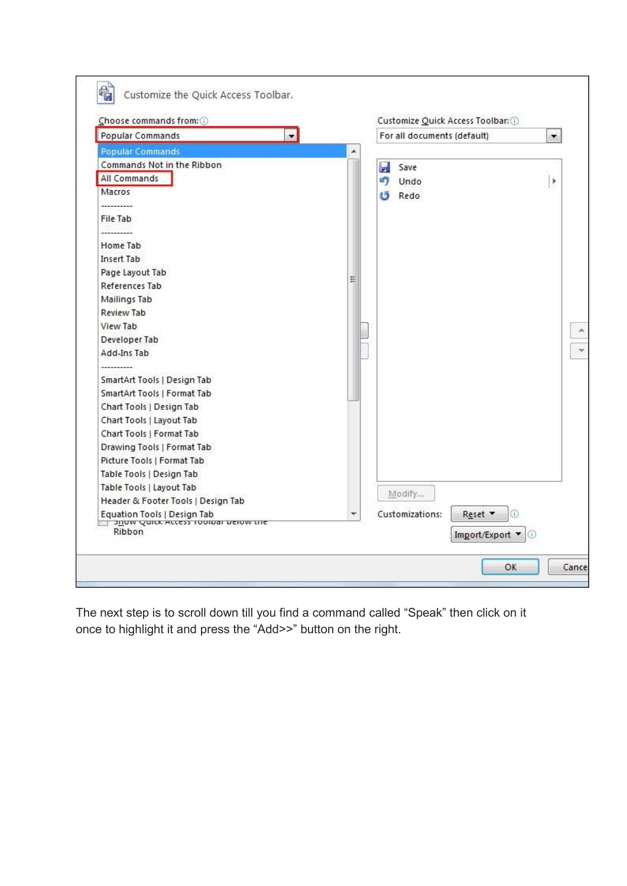| $\blacksquare$<br><b>Popular Commands</b>              |                          |   | For all documents (default) |               | ▼ |
|--------------------------------------------------------|--------------------------|---|-----------------------------|---------------|---|
| <b>Popular Commands</b>                                | ×                        |   |                             |               |   |
| Commands Not in the Ribbon                             |                          | W | Save                        |               |   |
| All Commands                                           |                          | n | Undo                        |               | r |
| Macros                                                 |                          |   | <b>U</b> Redo               |               |   |
|                                                        |                          |   |                             |               |   |
| File Tab                                               |                          |   |                             |               |   |
|                                                        |                          |   |                             |               |   |
| Home Tab                                               |                          |   |                             |               |   |
| <b>Insert Tab</b>                                      |                          |   |                             |               |   |
| Page Layout Tab                                        |                          |   |                             |               |   |
| References Tab                                         | Ξ                        |   |                             |               |   |
| Mailings Tab                                           |                          |   |                             |               |   |
| Review Tab                                             |                          |   |                             |               |   |
| View Tab                                               |                          |   |                             |               |   |
| Developer Tab                                          |                          |   |                             |               |   |
| Add-Ins Tab                                            |                          |   |                             |               |   |
| ---------                                              |                          |   |                             |               |   |
| SmartArt Tools   Design Tab                            |                          |   |                             |               |   |
| SmartArt Tools   Format Tab                            |                          |   |                             |               |   |
| Chart Tools   Design Tab                               |                          |   |                             |               |   |
| Chart Tools   Layout Tab                               |                          |   |                             |               |   |
| Chart Tools   Format Tab                               |                          |   |                             |               |   |
| Drawing Tools   Format Tab                             |                          |   |                             |               |   |
| Picture Tools   Format Tab                             |                          |   |                             |               |   |
| Table Tools   Design Tab                               |                          |   |                             |               |   |
| Table Tools   Layout Tab                               |                          |   | Modify                      |               |   |
| Header & Footer Tools   Design Tab                     |                          |   |                             |               |   |
| Equation Tools   Design Tab                            | $\overline{\phantom{m}}$ |   | Customizations:             | Ð<br>Reset v  |   |
| <b>3110W QUICK ACCESS TOOIDED DETOW LITE</b><br>Ribbon |                          |   |                             | Import/Export |   |

The next step is to scroll down till you find a command called "Speak" then click on it once to highlight it and press the "Add>>" button on the right.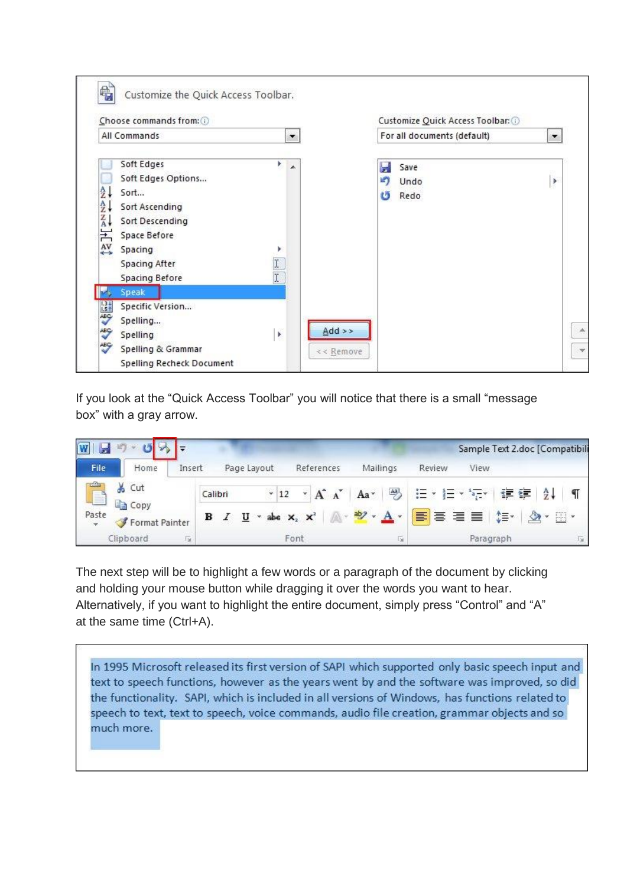

If you look at the "Quick Access Toolbar" you will notice that there is a small "message box" with a gray arrow.

|             | œ                           |                |                            |                                                      |                      |               | Sample Text 2.doc [Compatibili |                |
|-------------|-----------------------------|----------------|----------------------------|------------------------------------------------------|----------------------|---------------|--------------------------------|----------------|
| <b>File</b> | Home                        | Insert         | Page Layout                | References                                           | Mailings             | Review        | View                           |                |
| E           | & Cut                       |                | $\sim 12$<br>Calibri       | $\overline{\mathbf{v}}$<br>$A^{\dagger} A^{\dagger}$ | Aa <sup>v</sup>      | 粤 日 『三 『 『三 』 | 使错                             | $\frac{A}{Z}$  |
| Paste       | Ligh Copy<br>Format Painter | в              | $\mathbf{U}$<br><b>SWA</b> | abe $X_2$ $X^2$                                      | A· ツ · A ·   事 三 三 目 |               | $\mathbb{Z}$<br>াੈ≣≁           | $\mathbb{H}$ . |
|             | Clipboard                   | gines.<br>Fol. |                            | Font                                                 | point.<br>L'ai       |               | Paragraph                      | <b>SE</b>      |

The next step will be to highlight a few words or a paragraph of the document by clicking and holding your mouse button while dragging it over the words you want to hear. Alternatively, if you want to highlight the entire document, simply press "Control" and "A" at the same time (Ctrl+A).

In 1995 Microsoft released its first version of SAPI which supported only basic speech input and text to speech functions, however as the years went by and the software was improved, so did the functionality. SAPI, which is included in all versions of Windows, has functions related to speech to text, text to speech, voice commands, audio file creation, grammar objects and so much more.